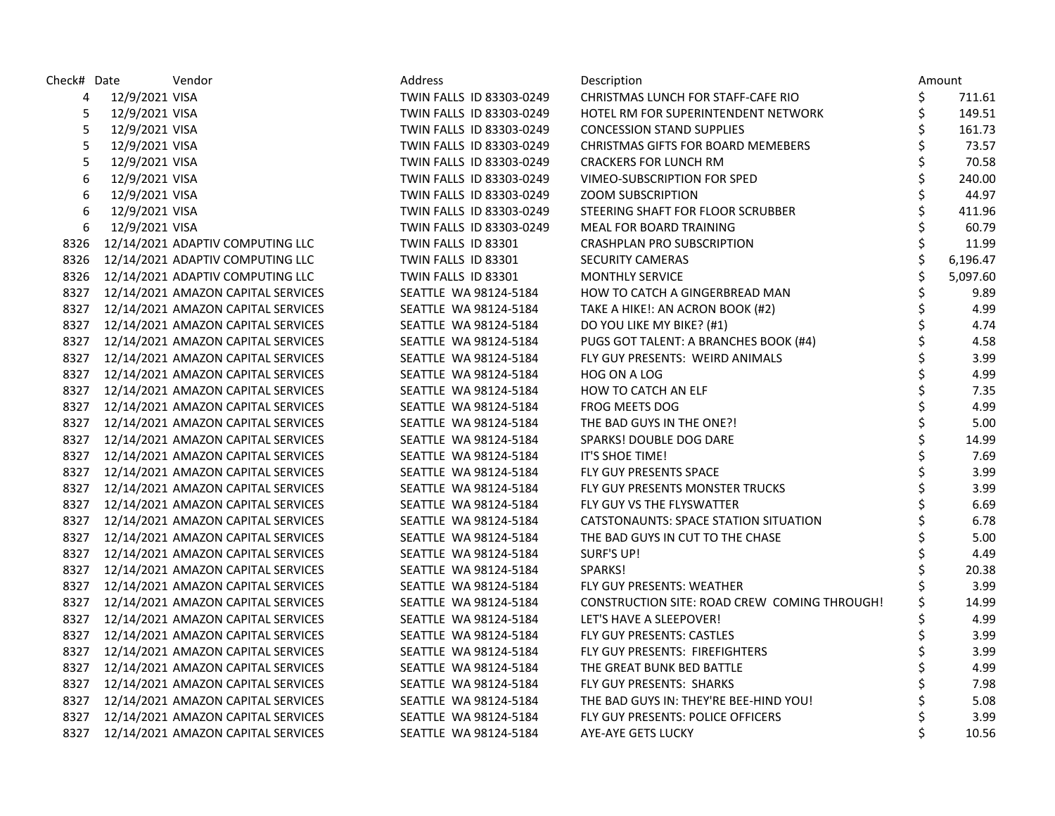| Check# Date |                | Vendor                                  | Address                  | Description                                  | Amount         |
|-------------|----------------|-----------------------------------------|--------------------------|----------------------------------------------|----------------|
| 4           | 12/9/2021 VISA |                                         | TWIN FALLS ID 83303-0249 | CHRISTMAS LUNCH FOR STAFF-CAFE RIO           | \$<br>711.61   |
| 5           | 12/9/2021 VISA |                                         | TWIN FALLS ID 83303-0249 | HOTEL RM FOR SUPERINTENDENT NETWORK          | \$<br>149.51   |
| 5           | 12/9/2021 VISA |                                         | TWIN FALLS ID 83303-0249 | <b>CONCESSION STAND SUPPLIES</b>             | \$<br>161.73   |
| 5           | 12/9/2021 VISA |                                         | TWIN FALLS ID 83303-0249 | CHRISTMAS GIFTS FOR BOARD MEMEBERS           | \$<br>73.57    |
| 5           | 12/9/2021 VISA |                                         | TWIN FALLS ID 83303-0249 | <b>CRACKERS FOR LUNCH RM</b>                 | \$<br>70.58    |
| 6           | 12/9/2021 VISA |                                         | TWIN FALLS ID 83303-0249 | VIMEO-SUBSCRIPTION FOR SPED                  | \$<br>240.00   |
| 6           | 12/9/2021 VISA |                                         | TWIN FALLS ID 83303-0249 | <b>ZOOM SUBSCRIPTION</b>                     | \$<br>44.97    |
| 6           | 12/9/2021 VISA |                                         | TWIN FALLS ID 83303-0249 | STEERING SHAFT FOR FLOOR SCRUBBER            | \$<br>411.96   |
| 6           | 12/9/2021 VISA |                                         | TWIN FALLS ID 83303-0249 | MEAL FOR BOARD TRAINING                      | \$<br>60.79    |
| 8326        |                | 12/14/2021 ADAPTIV COMPUTING LLC        | TWIN FALLS ID 83301      | CRASHPLAN PRO SUBSCRIPTION                   | \$<br>11.99    |
| 8326        |                | 12/14/2021 ADAPTIV COMPUTING LLC        | TWIN FALLS ID 83301      | <b>SECURITY CAMERAS</b>                      | \$<br>6,196.47 |
|             |                | 8326 12/14/2021 ADAPTIV COMPUTING LLC   | TWIN FALLS ID 83301      | <b>MONTHLY SERVICE</b>                       | \$<br>5,097.60 |
|             |                | 8327 12/14/2021 AMAZON CAPITAL SERVICES | SEATTLE WA 98124-5184    | HOW TO CATCH A GINGERBREAD MAN               | \$<br>9.89     |
|             |                | 8327 12/14/2021 AMAZON CAPITAL SERVICES | SEATTLE WA 98124-5184    | TAKE A HIKE!: AN ACRON BOOK (#2)             | \$<br>4.99     |
|             |                | 8327 12/14/2021 AMAZON CAPITAL SERVICES | SEATTLE WA 98124-5184    | DO YOU LIKE MY BIKE? (#1)                    | \$<br>4.74     |
|             |                | 8327 12/14/2021 AMAZON CAPITAL SERVICES | SEATTLE WA 98124-5184    | PUGS GOT TALENT: A BRANCHES BOOK (#4)        | \$<br>4.58     |
|             |                | 8327 12/14/2021 AMAZON CAPITAL SERVICES | SEATTLE WA 98124-5184    | FLY GUY PRESENTS: WEIRD ANIMALS              | \$<br>3.99     |
|             |                | 8327 12/14/2021 AMAZON CAPITAL SERVICES | SEATTLE WA 98124-5184    | HOG ON A LOG                                 | \$<br>4.99     |
|             |                | 8327 12/14/2021 AMAZON CAPITAL SERVICES | SEATTLE WA 98124-5184    | HOW TO CATCH AN ELF                          | \$<br>7.35     |
|             |                | 8327 12/14/2021 AMAZON CAPITAL SERVICES | SEATTLE WA 98124-5184    | <b>FROG MEETS DOG</b>                        | \$<br>4.99     |
|             |                | 8327 12/14/2021 AMAZON CAPITAL SERVICES | SEATTLE WA 98124-5184    | THE BAD GUYS IN THE ONE?!                    | \$<br>5.00     |
|             |                | 8327 12/14/2021 AMAZON CAPITAL SERVICES | SEATTLE WA 98124-5184    | SPARKS! DOUBLE DOG DARE                      | \$<br>14.99    |
|             |                | 8327 12/14/2021 AMAZON CAPITAL SERVICES | SEATTLE WA 98124-5184    | IT'S SHOE TIME!                              | \$<br>7.69     |
|             |                | 8327 12/14/2021 AMAZON CAPITAL SERVICES | SEATTLE WA 98124-5184    | FLY GUY PRESENTS SPACE                       | 3.99           |
|             |                | 8327 12/14/2021 AMAZON CAPITAL SERVICES | SEATTLE WA 98124-5184    | FLY GUY PRESENTS MONSTER TRUCKS              | \$<br>3.99     |
|             |                | 8327 12/14/2021 AMAZON CAPITAL SERVICES | SEATTLE WA 98124-5184    | FLY GUY VS THE FLYSWATTER                    | \$<br>6.69     |
|             |                | 8327 12/14/2021 AMAZON CAPITAL SERVICES | SEATTLE WA 98124-5184    | CATSTONAUNTS: SPACE STATION SITUATION        | \$<br>6.78     |
|             |                | 8327 12/14/2021 AMAZON CAPITAL SERVICES | SEATTLE WA 98124-5184    | THE BAD GUYS IN CUT TO THE CHASE             | \$<br>5.00     |
|             |                | 8327 12/14/2021 AMAZON CAPITAL SERVICES | SEATTLE WA 98124-5184    | SURF'S UP!                                   | \$<br>4.49     |
|             |                | 8327 12/14/2021 AMAZON CAPITAL SERVICES | SEATTLE WA 98124-5184    | SPARKS!                                      | 20.38          |
|             |                | 8327 12/14/2021 AMAZON CAPITAL SERVICES | SEATTLE WA 98124-5184    | FLY GUY PRESENTS: WEATHER                    | 3.99           |
|             |                | 8327 12/14/2021 AMAZON CAPITAL SERVICES | SEATTLE WA 98124-5184    | CONSTRUCTION SITE: ROAD CREW COMING THROUGH! | \$<br>14.99    |
|             |                | 8327 12/14/2021 AMAZON CAPITAL SERVICES | SEATTLE WA 98124-5184    | LET'S HAVE A SLEEPOVER!                      | \$<br>4.99     |
|             |                | 8327 12/14/2021 AMAZON CAPITAL SERVICES | SEATTLE WA 98124-5184    | FLY GUY PRESENTS: CASTLES                    | \$<br>3.99     |
|             |                | 8327 12/14/2021 AMAZON CAPITAL SERVICES | SEATTLE WA 98124-5184    | FLY GUY PRESENTS: FIREFIGHTERS               | \$<br>3.99     |
|             |                | 8327 12/14/2021 AMAZON CAPITAL SERVICES | SEATTLE WA 98124-5184    | THE GREAT BUNK BED BATTLE                    | \$<br>4.99     |
|             |                | 8327 12/14/2021 AMAZON CAPITAL SERVICES | SEATTLE WA 98124-5184    | FLY GUY PRESENTS: SHARKS                     | \$<br>7.98     |
| 8327        |                | 12/14/2021 AMAZON CAPITAL SERVICES      | SEATTLE WA 98124-5184    | THE BAD GUYS IN: THEY'RE BEE-HIND YOU!       | \$<br>5.08     |
|             |                | 8327 12/14/2021 AMAZON CAPITAL SERVICES | SEATTLE WA 98124-5184    | FLY GUY PRESENTS: POLICE OFFICERS            | \$<br>3.99     |
|             |                | 8327 12/14/2021 AMAZON CAPITAL SERVICES | SEATTLE WA 98124-5184    | AYE-AYE GETS LUCKY                           | \$<br>10.56    |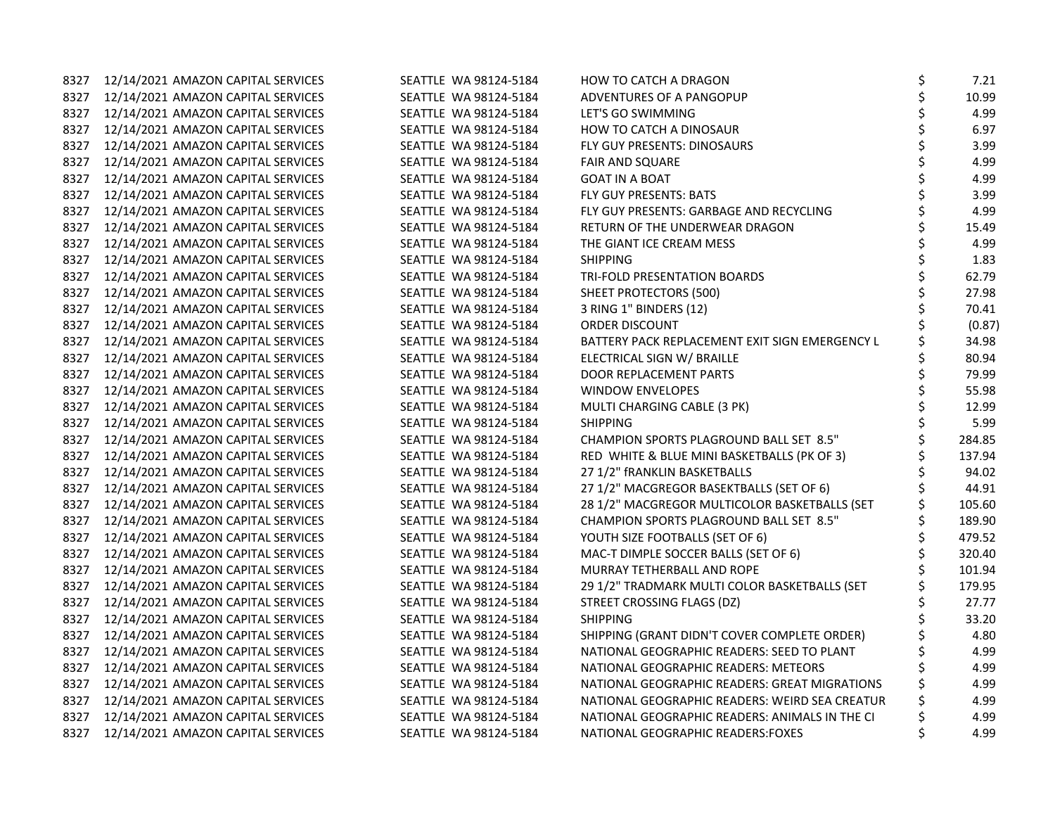| 8327 | 12/14/2021 AMAZON CAPITAL SERVICES      | SEATTLE WA 98124-5184 | HOW TO CATCH A DRAGON                          | \$ | 7.21   |
|------|-----------------------------------------|-----------------------|------------------------------------------------|----|--------|
|      | 8327 12/14/2021 AMAZON CAPITAL SERVICES | SEATTLE WA 98124-5184 | ADVENTURES OF A PANGOPUP                       |    | 10.99  |
| 8327 | 12/14/2021 AMAZON CAPITAL SERVICES      | SEATTLE WA 98124-5184 | LET'S GO SWIMMING                              | \$ | 4.99   |
| 8327 | 12/14/2021 AMAZON CAPITAL SERVICES      | SEATTLE WA 98124-5184 | HOW TO CATCH A DINOSAUR                        | \$ | 6.97   |
| 8327 | 12/14/2021 AMAZON CAPITAL SERVICES      | SEATTLE WA 98124-5184 | FLY GUY PRESENTS: DINOSAURS                    | \$ | 3.99   |
| 8327 | 12/14/2021 AMAZON CAPITAL SERVICES      | SEATTLE WA 98124-5184 | <b>FAIR AND SQUARE</b>                         | \$ | 4.99   |
| 8327 | 12/14/2021 AMAZON CAPITAL SERVICES      | SEATTLE WA 98124-5184 | <b>GOAT IN A BOAT</b>                          |    | 4.99   |
| 8327 | 12/14/2021 AMAZON CAPITAL SERVICES      | SEATTLE WA 98124-5184 | FLY GUY PRESENTS: BATS                         |    | 3.99   |
| 8327 | 12/14/2021 AMAZON CAPITAL SERVICES      | SEATTLE WA 98124-5184 | FLY GUY PRESENTS: GARBAGE AND RECYCLING        |    | 4.99   |
| 8327 | 12/14/2021 AMAZON CAPITAL SERVICES      | SEATTLE WA 98124-5184 | RETURN OF THE UNDERWEAR DRAGON                 |    | 15.49  |
| 8327 | 12/14/2021 AMAZON CAPITAL SERVICES      | SEATTLE WA 98124-5184 | THE GIANT ICE CREAM MESS                       |    | 4.99   |
| 8327 | 12/14/2021 AMAZON CAPITAL SERVICES      | SEATTLE WA 98124-5184 | <b>SHIPPING</b>                                |    | 1.83   |
| 8327 | 12/14/2021 AMAZON CAPITAL SERVICES      | SEATTLE WA 98124-5184 | TRI-FOLD PRESENTATION BOARDS                   |    | 62.79  |
| 8327 | 12/14/2021 AMAZON CAPITAL SERVICES      | SEATTLE WA 98124-5184 | <b>SHEET PROTECTORS (500)</b>                  | \$ | 27.98  |
| 8327 | 12/14/2021 AMAZON CAPITAL SERVICES      | SEATTLE WA 98124-5184 | 3 RING 1" BINDERS (12)                         | \$ | 70.41  |
| 8327 | 12/14/2021 AMAZON CAPITAL SERVICES      | SEATTLE WA 98124-5184 | ORDER DISCOUNT                                 |    | (0.87) |
| 8327 | 12/14/2021 AMAZON CAPITAL SERVICES      | SEATTLE WA 98124-5184 | BATTERY PACK REPLACEMENT EXIT SIGN EMERGENCY L |    | 34.98  |
| 8327 | 12/14/2021 AMAZON CAPITAL SERVICES      | SEATTLE WA 98124-5184 | ELECTRICAL SIGN W/ BRAILLE                     | \$ | 80.94  |
| 8327 | 12/14/2021 AMAZON CAPITAL SERVICES      | SEATTLE WA 98124-5184 | DOOR REPLACEMENT PARTS                         |    | 79.99  |
| 8327 | 12/14/2021 AMAZON CAPITAL SERVICES      | SEATTLE WA 98124-5184 | <b>WINDOW ENVELOPES</b>                        |    | 55.98  |
| 8327 | 12/14/2021 AMAZON CAPITAL SERVICES      | SEATTLE WA 98124-5184 | MULTI CHARGING CABLE (3 PK)                    |    | 12.99  |
| 8327 | 12/14/2021 AMAZON CAPITAL SERVICES      | SEATTLE WA 98124-5184 | <b>SHIPPING</b>                                |    | 5.99   |
| 8327 | 12/14/2021 AMAZON CAPITAL SERVICES      | SEATTLE WA 98124-5184 | CHAMPION SPORTS PLAGROUND BALL SET 8.5"        |    | 284.85 |
| 8327 | 12/14/2021 AMAZON CAPITAL SERVICES      | SEATTLE WA 98124-5184 | RED WHITE & BLUE MINI BASKETBALLS (PK OF 3)    |    | 137.94 |
| 8327 | 12/14/2021 AMAZON CAPITAL SERVICES      | SEATTLE WA 98124-5184 | 27 1/2" fRANKLIN BASKETBALLS                   |    | 94.02  |
| 8327 | 12/14/2021 AMAZON CAPITAL SERVICES      | SEATTLE WA 98124-5184 | 27 1/2" MACGREGOR BASEKTBALLS (SET OF 6)       |    | 44.91  |
| 8327 | 12/14/2021 AMAZON CAPITAL SERVICES      | SEATTLE WA 98124-5184 | 28 1/2" MACGREGOR MULTICOLOR BASKETBALLS (SET  | \$ | 105.60 |
| 8327 | 12/14/2021 AMAZON CAPITAL SERVICES      | SEATTLE WA 98124-5184 | CHAMPION SPORTS PLAGROUND BALL SET 8.5"        | \$ | 189.90 |
| 8327 | 12/14/2021 AMAZON CAPITAL SERVICES      | SEATTLE WA 98124-5184 | YOUTH SIZE FOOTBALLS (SET OF 6)                | \$ | 479.52 |
| 8327 | 12/14/2021 AMAZON CAPITAL SERVICES      | SEATTLE WA 98124-5184 | MAC-T DIMPLE SOCCER BALLS (SET OF 6)           |    | 320.40 |
| 8327 | 12/14/2021 AMAZON CAPITAL SERVICES      | SEATTLE WA 98124-5184 | MURRAY TETHERBALL AND ROPE                     |    | 101.94 |
| 8327 | 12/14/2021 AMAZON CAPITAL SERVICES      | SEATTLE WA 98124-5184 | 29 1/2" TRADMARK MULTI COLOR BASKETBALLS (SET  |    | 179.95 |
| 8327 | 12/14/2021 AMAZON CAPITAL SERVICES      | SEATTLE WA 98124-5184 | STREET CROSSING FLAGS (DZ)                     |    | 27.77  |
| 8327 | 12/14/2021 AMAZON CAPITAL SERVICES      | SEATTLE WA 98124-5184 | <b>SHIPPING</b>                                |    | 33.20  |
| 8327 | 12/14/2021 AMAZON CAPITAL SERVICES      | SEATTLE WA 98124-5184 | SHIPPING (GRANT DIDN'T COVER COMPLETE ORDER)   |    | 4.80   |
| 8327 | 12/14/2021 AMAZON CAPITAL SERVICES      | SEATTLE WA 98124-5184 | NATIONAL GEOGRAPHIC READERS: SEED TO PLANT     |    | 4.99   |
| 8327 | 12/14/2021 AMAZON CAPITAL SERVICES      | SEATTLE WA 98124-5184 | NATIONAL GEOGRAPHIC READERS: METEORS           | \$ | 4.99   |
| 8327 | 12/14/2021 AMAZON CAPITAL SERVICES      | SEATTLE WA 98124-5184 | NATIONAL GEOGRAPHIC READERS: GREAT MIGRATIONS  | \$ | 4.99   |
| 8327 | 12/14/2021 AMAZON CAPITAL SERVICES      | SEATTLE WA 98124-5184 | NATIONAL GEOGRAPHIC READERS: WEIRD SEA CREATUR |    | 4.99   |
| 8327 | 12/14/2021 AMAZON CAPITAL SERVICES      | SEATTLE WA 98124-5184 | NATIONAL GEOGRAPHIC READERS: ANIMALS IN THE CI |    | 4.99   |
| 8327 | 12/14/2021 AMAZON CAPITAL SERVICES      | SEATTLE WA 98124-5184 | NATIONAL GEOGRAPHIC READERS: FOXES             | Ś  | 4.99   |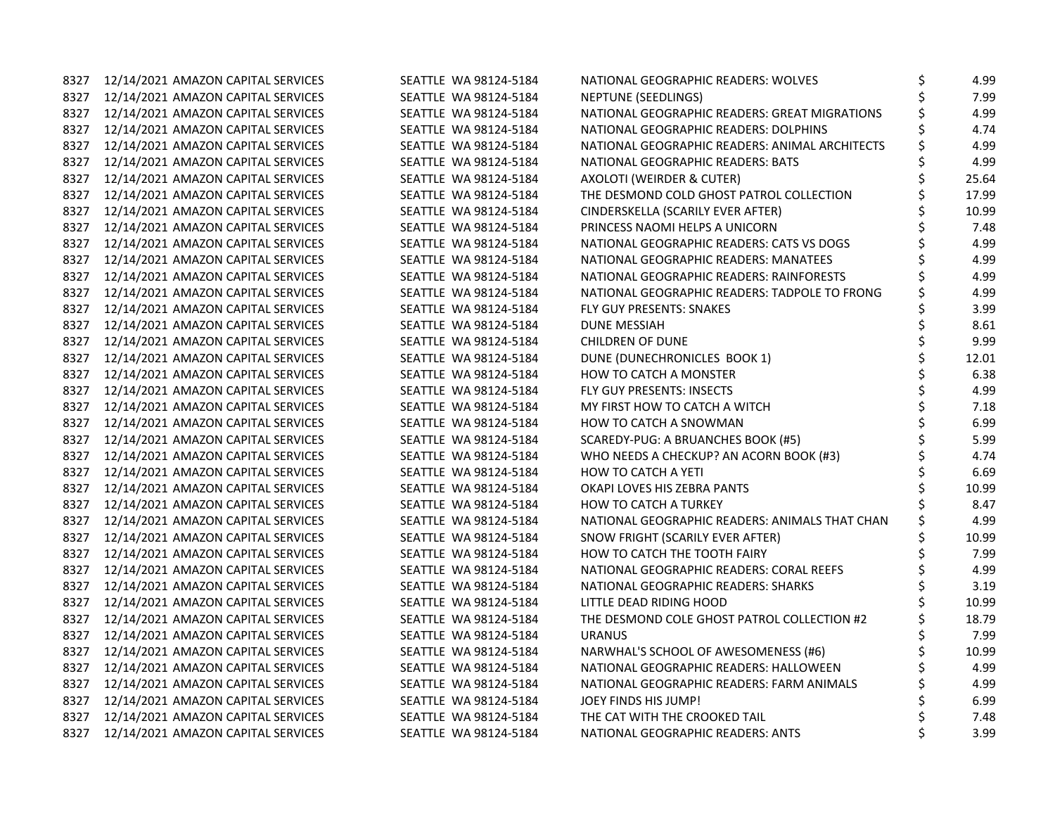| 8327 | 12/14/2021 AMAZON CAPITAL SERVICES      | SEATTLE WA 98124-5184 | NATIONAL GEOGRAPHIC READERS: WOLVES            | \$<br>4.99  |
|------|-----------------------------------------|-----------------------|------------------------------------------------|-------------|
|      | 8327 12/14/2021 AMAZON CAPITAL SERVICES | SEATTLE WA 98124-5184 | NEPTUNE (SEEDLINGS)                            | 7.99        |
| 8327 | 12/14/2021 AMAZON CAPITAL SERVICES      | SEATTLE WA 98124-5184 | NATIONAL GEOGRAPHIC READERS: GREAT MIGRATIONS  | \$<br>4.99  |
| 8327 | 12/14/2021 AMAZON CAPITAL SERVICES      | SEATTLE WA 98124-5184 | NATIONAL GEOGRAPHIC READERS: DOLPHINS          | 4.74        |
| 8327 | 12/14/2021 AMAZON CAPITAL SERVICES      | SEATTLE WA 98124-5184 | NATIONAL GEOGRAPHIC READERS: ANIMAL ARCHITECTS | \$<br>4.99  |
| 8327 | 12/14/2021 AMAZON CAPITAL SERVICES      | SEATTLE WA 98124-5184 | NATIONAL GEOGRAPHIC READERS: BATS              | \$<br>4.99  |
| 8327 | 12/14/2021 AMAZON CAPITAL SERVICES      | SEATTLE WA 98124-5184 | AXOLOTI (WEIRDER & CUTER)                      | 25.64       |
| 8327 | 12/14/2021 AMAZON CAPITAL SERVICES      | SEATTLE WA 98124-5184 | THE DESMOND COLD GHOST PATROL COLLECTION       | 17.99       |
| 8327 | 12/14/2021 AMAZON CAPITAL SERVICES      | SEATTLE WA 98124-5184 | CINDERSKELLA (SCARILY EVER AFTER)              | 10.99       |
| 8327 | 12/14/2021 AMAZON CAPITAL SERVICES      | SEATTLE WA 98124-5184 | PRINCESS NAOMI HELPS A UNICORN                 | 7.48        |
| 8327 | 12/14/2021 AMAZON CAPITAL SERVICES      | SEATTLE WA 98124-5184 | NATIONAL GEOGRAPHIC READERS: CATS VS DOGS      | 4.99        |
| 8327 | 12/14/2021 AMAZON CAPITAL SERVICES      | SEATTLE WA 98124-5184 | NATIONAL GEOGRAPHIC READERS: MANATEES          | \$<br>4.99  |
| 8327 | 12/14/2021 AMAZON CAPITAL SERVICES      | SEATTLE WA 98124-5184 | NATIONAL GEOGRAPHIC READERS: RAINFORESTS       | 4.99        |
| 8327 | 12/14/2021 AMAZON CAPITAL SERVICES      | SEATTLE WA 98124-5184 | NATIONAL GEOGRAPHIC READERS: TADPOLE TO FRONG  | 4.99        |
| 8327 | 12/14/2021 AMAZON CAPITAL SERVICES      | SEATTLE WA 98124-5184 | FLY GUY PRESENTS: SNAKES                       | 3.99        |
| 8327 | 12/14/2021 AMAZON CAPITAL SERVICES      | SEATTLE WA 98124-5184 | <b>DUNE MESSIAH</b>                            | \$<br>8.61  |
| 8327 | 12/14/2021 AMAZON CAPITAL SERVICES      | SEATTLE WA 98124-5184 | <b>CHILDREN OF DUNE</b>                        | \$<br>9.99  |
| 8327 | 12/14/2021 AMAZON CAPITAL SERVICES      | SEATTLE WA 98124-5184 | DUNE (DUNECHRONICLES BOOK 1)                   | \$<br>12.01 |
| 8327 | 12/14/2021 AMAZON CAPITAL SERVICES      | SEATTLE WA 98124-5184 | <b>HOW TO CATCH A MONSTER</b>                  | 6.38        |
| 8327 | 12/14/2021 AMAZON CAPITAL SERVICES      | SEATTLE WA 98124-5184 | FLY GUY PRESENTS: INSECTS                      | \$<br>4.99  |
| 8327 | 12/14/2021 AMAZON CAPITAL SERVICES      | SEATTLE WA 98124-5184 | MY FIRST HOW TO CATCH A WITCH                  | \$<br>7.18  |
| 8327 | 12/14/2021 AMAZON CAPITAL SERVICES      | SEATTLE WA 98124-5184 | HOW TO CATCH A SNOWMAN                         | \$<br>6.99  |
| 8327 | 12/14/2021 AMAZON CAPITAL SERVICES      | SEATTLE WA 98124-5184 | SCAREDY-PUG: A BRUANCHES BOOK (#5)             | \$<br>5.99  |
|      | 8327 12/14/2021 AMAZON CAPITAL SERVICES | SEATTLE WA 98124-5184 | WHO NEEDS A CHECKUP? AN ACORN BOOK (#3)        | 4.74        |
| 8327 | 12/14/2021 AMAZON CAPITAL SERVICES      | SEATTLE WA 98124-5184 | <b>HOW TO CATCH A YETI</b>                     | 6.69        |
| 8327 | 12/14/2021 AMAZON CAPITAL SERVICES      | SEATTLE WA 98124-5184 | OKAPI LOVES HIS ZEBRA PANTS                    | \$<br>10.99 |
| 8327 | 12/14/2021 AMAZON CAPITAL SERVICES      | SEATTLE WA 98124-5184 | <b>HOW TO CATCH A TURKEY</b>                   | 8.47        |
| 8327 | 12/14/2021 AMAZON CAPITAL SERVICES      | SEATTLE WA 98124-5184 | NATIONAL GEOGRAPHIC READERS: ANIMALS THAT CHAN | \$<br>4.99  |
| 8327 | 12/14/2021 AMAZON CAPITAL SERVICES      | SEATTLE WA 98124-5184 | SNOW FRIGHT (SCARILY EVER AFTER)               | \$<br>10.99 |
|      | 8327 12/14/2021 AMAZON CAPITAL SERVICES | SEATTLE WA 98124-5184 | HOW TO CATCH THE TOOTH FAIRY                   | 7.99        |
| 8327 | 12/14/2021 AMAZON CAPITAL SERVICES      | SEATTLE WA 98124-5184 | NATIONAL GEOGRAPHIC READERS: CORAL REEFS       | 4.99        |
| 8327 | 12/14/2021 AMAZON CAPITAL SERVICES      | SEATTLE WA 98124-5184 | NATIONAL GEOGRAPHIC READERS: SHARKS            | 3.19        |
| 8327 | 12/14/2021 AMAZON CAPITAL SERVICES      | SEATTLE WA 98124-5184 | LITTLE DEAD RIDING HOOD                        | 10.99       |
| 8327 | 12/14/2021 AMAZON CAPITAL SERVICES      | SEATTLE WA 98124-5184 | THE DESMOND COLE GHOST PATROL COLLECTION #2    | 18.79       |
| 8327 | 12/14/2021 AMAZON CAPITAL SERVICES      | SEATTLE WA 98124-5184 | <b>URANUS</b>                                  | \$<br>7.99  |
|      | 8327 12/14/2021 AMAZON CAPITAL SERVICES | SEATTLE WA 98124-5184 | NARWHAL'S SCHOOL OF AWESOMENESS (#6)           | 10.99       |
| 8327 | 12/14/2021 AMAZON CAPITAL SERVICES      | SEATTLE WA 98124-5184 | NATIONAL GEOGRAPHIC READERS: HALLOWEEN         | 4.99        |
| 8327 | 12/14/2021 AMAZON CAPITAL SERVICES      | SEATTLE WA 98124-5184 | NATIONAL GEOGRAPHIC READERS: FARM ANIMALS      | 4.99        |
| 8327 | 12/14/2021 AMAZON CAPITAL SERVICES      | SEATTLE WA 98124-5184 | JOEY FINDS HIS JUMP!                           | 6.99        |
| 8327 | 12/14/2021 AMAZON CAPITAL SERVICES      | SEATTLE WA 98124-5184 | THE CAT WITH THE CROOKED TAIL                  | \$<br>7.48  |
| 8327 | 12/14/2021 AMAZON CAPITAL SERVICES      | SEATTLE WA 98124-5184 | NATIONAL GEOGRAPHIC READERS: ANTS              | \$<br>3.99  |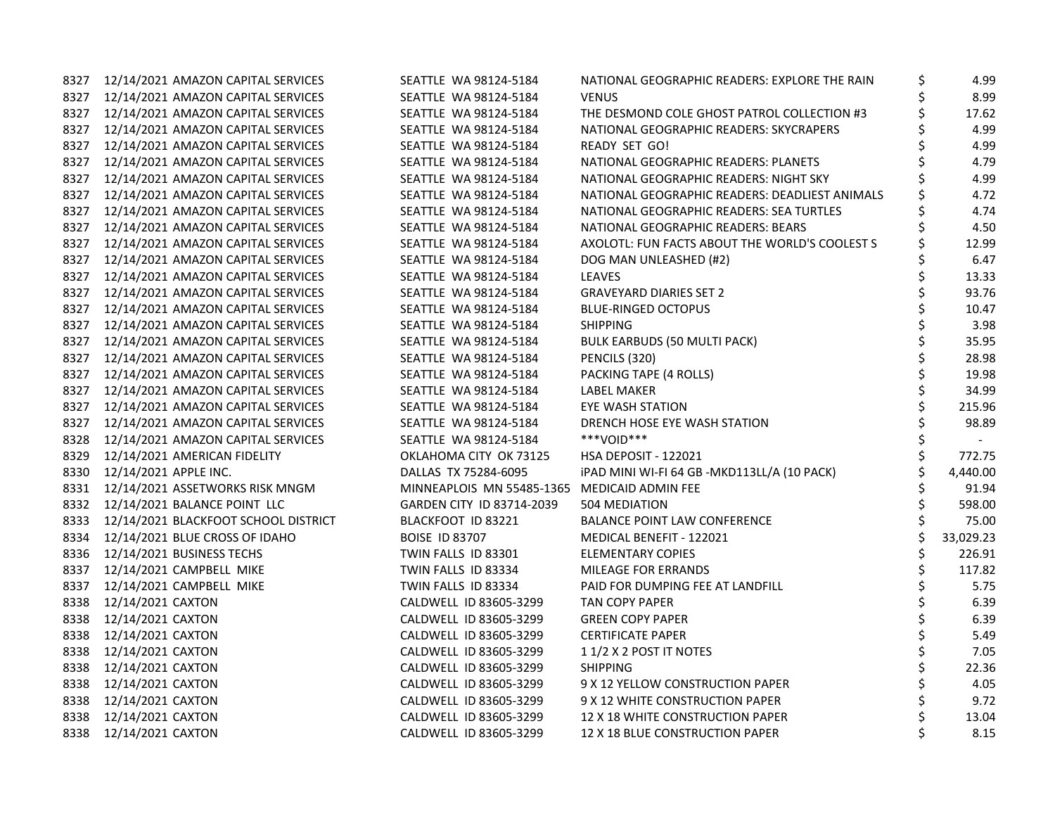|      | 8327 12/14/2021 AMAZON CAPITAL SERVICES | SEATTLE WA 98124-5184                        | NATIONAL GEOGRAPHIC READERS: EXPLORE THE RAIN  | \$ | 4.99      |
|------|-----------------------------------------|----------------------------------------------|------------------------------------------------|----|-----------|
|      | 8327 12/14/2021 AMAZON CAPITAL SERVICES | SEATTLE WA 98124-5184                        | <b>VENUS</b>                                   |    | 8.99      |
|      | 8327 12/14/2021 AMAZON CAPITAL SERVICES | SEATTLE WA 98124-5184                        | THE DESMOND COLE GHOST PATROL COLLECTION #3    | \$ | 17.62     |
|      | 8327 12/14/2021 AMAZON CAPITAL SERVICES | SEATTLE WA 98124-5184                        | NATIONAL GEOGRAPHIC READERS: SKYCRAPERS        |    | 4.99      |
|      | 8327 12/14/2021 AMAZON CAPITAL SERVICES | SEATTLE WA 98124-5184                        | READY SET GO!                                  | Ś  | 4.99      |
|      | 8327 12/14/2021 AMAZON CAPITAL SERVICES | SEATTLE WA 98124-5184                        | NATIONAL GEOGRAPHIC READERS: PLANETS           |    | 4.79      |
|      | 8327 12/14/2021 AMAZON CAPITAL SERVICES | SEATTLE WA 98124-5184                        | NATIONAL GEOGRAPHIC READERS: NIGHT SKY         |    | 4.99      |
| 8327 | 12/14/2021 AMAZON CAPITAL SERVICES      | SEATTLE WA 98124-5184                        | NATIONAL GEOGRAPHIC READERS: DEADLIEST ANIMALS | \$ | 4.72      |
| 8327 | 12/14/2021 AMAZON CAPITAL SERVICES      | SEATTLE WA 98124-5184                        | NATIONAL GEOGRAPHIC READERS: SEA TURTLES       |    | 4.74      |
| 8327 | 12/14/2021 AMAZON CAPITAL SERVICES      | SEATTLE WA 98124-5184                        | NATIONAL GEOGRAPHIC READERS: BEARS             |    | 4.50      |
| 8327 | 12/14/2021 AMAZON CAPITAL SERVICES      | SEATTLE WA 98124-5184                        | AXOLOTL: FUN FACTS ABOUT THE WORLD'S COOLEST S | \$ | 12.99     |
|      | 8327 12/14/2021 AMAZON CAPITAL SERVICES | SEATTLE WA 98124-5184                        | DOG MAN UNLEASHED (#2)                         |    | 6.47      |
|      | 8327 12/14/2021 AMAZON CAPITAL SERVICES | SEATTLE WA 98124-5184                        | <b>LEAVES</b>                                  |    | 13.33     |
| 8327 | 12/14/2021 AMAZON CAPITAL SERVICES      | SEATTLE WA 98124-5184                        | <b>GRAVEYARD DIARIES SET 2</b>                 | \$ | 93.76     |
|      | 8327 12/14/2021 AMAZON CAPITAL SERVICES | SEATTLE WA 98124-5184                        | <b>BLUE-RINGED OCTOPUS</b>                     | \$ | 10.47     |
|      | 8327 12/14/2021 AMAZON CAPITAL SERVICES | SEATTLE WA 98124-5184                        | <b>SHIPPING</b>                                | \$ | 3.98      |
|      | 8327 12/14/2021 AMAZON CAPITAL SERVICES | SEATTLE WA 98124-5184                        | <b>BULK EARBUDS (50 MULTI PACK)</b>            | \$ | 35.95     |
|      | 8327 12/14/2021 AMAZON CAPITAL SERVICES | SEATTLE WA 98124-5184                        | PENCILS (320)                                  |    | 28.98     |
|      | 8327 12/14/2021 AMAZON CAPITAL SERVICES | SEATTLE WA 98124-5184                        | PACKING TAPE (4 ROLLS)                         |    | 19.98     |
| 8327 | 12/14/2021 AMAZON CAPITAL SERVICES      | SEATTLE WA 98124-5184                        | LABEL MAKER                                    |    | 34.99     |
| 8327 | 12/14/2021 AMAZON CAPITAL SERVICES      | SEATTLE WA 98124-5184                        | <b>EYE WASH STATION</b>                        | \$ | 215.96    |
| 8327 | 12/14/2021 AMAZON CAPITAL SERVICES      | SEATTLE WA 98124-5184                        | DRENCH HOSE EYE WASH STATION                   | Ś  | 98.89     |
| 8328 | 12/14/2021 AMAZON CAPITAL SERVICES      | SEATTLE WA 98124-5184                        | ***VOID***                                     |    |           |
|      | 8329 12/14/2021 AMERICAN FIDELITY       | OKLAHOMA CITY OK 73125                       | HSA DEPOSIT - 122021                           |    | 772.75    |
|      | 8330 12/14/2021 APPLE INC.              | DALLAS TX 75284-6095                         | iPAD MINI WI-FI 64 GB -MKD113LL/A (10 PACK)    |    | 4,440.00  |
|      | 8331 12/14/2021 ASSETWORKS RISK MNGM    | MINNEAPLOIS MN 55485-1365 MEDICAID ADMIN FEE |                                                |    | 91.94     |
|      | 8332 12/14/2021 BALANCE POINT LLC       | GARDEN CITY ID 83714-2039                    | 504 MEDIATION                                  | \$ | 598.00    |
| 8333 | 12/14/2021 BLACKFOOT SCHOOL DISTRICT    | BLACKFOOT ID 83221                           | <b>BALANCE POINT LAW CONFERENCE</b>            | \$ | 75.00     |
|      | 8334 12/14/2021 BLUE CROSS OF IDAHO     | <b>BOISE ID 83707</b>                        | MEDICAL BENEFIT - 122021                       | \$ | 33,029.23 |
|      | 8336 12/14/2021 BUSINESS TECHS          | TWIN FALLS ID 83301                          | <b>ELEMENTARY COPIES</b>                       | \$ | 226.91    |
|      | 8337 12/14/2021 CAMPBELL MIKE           | TWIN FALLS ID 83334                          | MILEAGE FOR ERRANDS                            | \$ | 117.82    |
| 8337 | 12/14/2021 CAMPBELL MIKE                | TWIN FALLS ID 83334                          | PAID FOR DUMPING FEE AT LANDFILL               |    | 5.75      |
| 8338 | 12/14/2021 CAXTON                       | CALDWELL ID 83605-3299                       | <b>TAN COPY PAPER</b>                          |    | 6.39      |
| 8338 | 12/14/2021 CAXTON                       | CALDWELL ID 83605-3299                       | <b>GREEN COPY PAPER</b>                        | \$ | 6.39      |
|      | 8338 12/14/2021 CAXTON                  | CALDWELL ID 83605-3299                       | <b>CERTIFICATE PAPER</b>                       | \$ | 5.49      |
|      | 8338 12/14/2021 CAXTON                  | CALDWELL ID 83605-3299                       | 11/2 X 2 POST IT NOTES                         |    | 7.05      |
|      | 8338 12/14/2021 CAXTON                  | CALDWELL ID 83605-3299                       | <b>SHIPPING</b>                                | \$ | 22.36     |
|      | 8338 12/14/2021 CAXTON                  | CALDWELL ID 83605-3299                       | 9 X 12 YELLOW CONSTRUCTION PAPER               | \$ | 4.05      |
|      | 8338 12/14/2021 CAXTON                  | CALDWELL ID 83605-3299                       | 9 X 12 WHITE CONSTRUCTION PAPER                | \$ | 9.72      |
|      | 8338 12/14/2021 CAXTON                  | CALDWELL ID 83605-3299                       | 12 X 18 WHITE CONSTRUCTION PAPER               | \$ | 13.04     |
|      | 8338 12/14/2021 CAXTON                  | CALDWELL ID 83605-3299                       | 12 X 18 BLUE CONSTRUCTION PAPER                | \$ | 8.15      |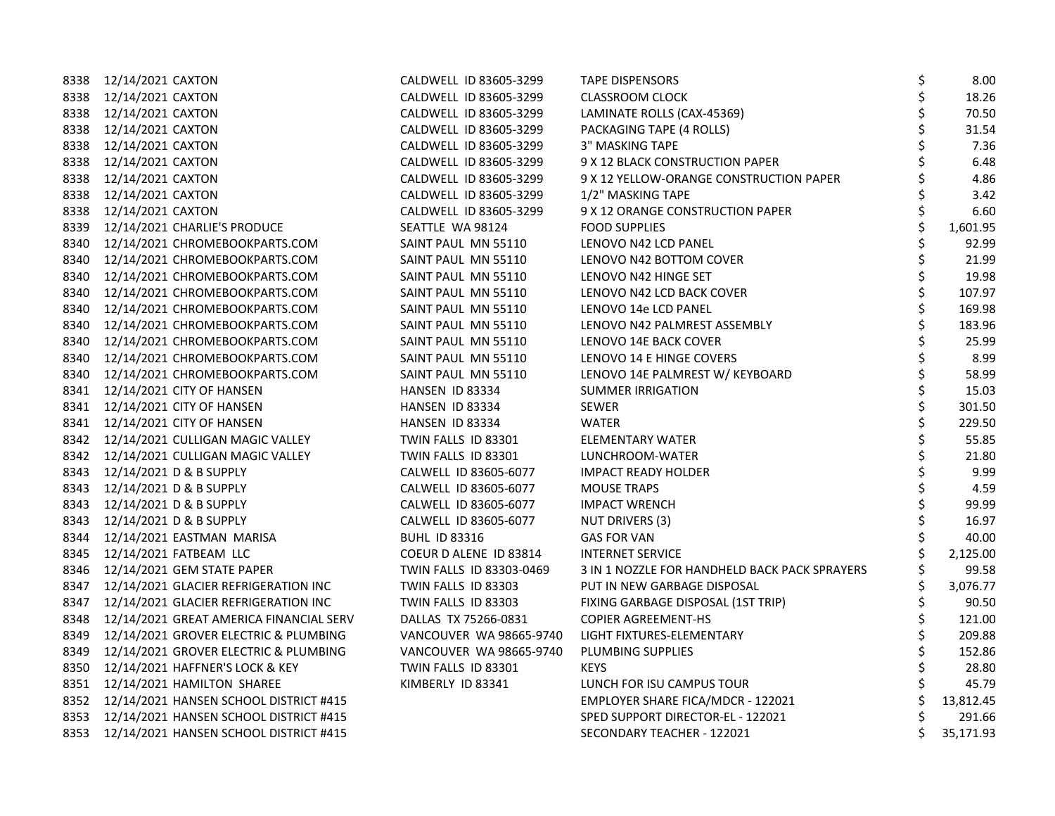|      | 8338 12/14/2021 CAXTON                       | CALDWELL ID 83605-3299   | TAPE DISPENSORS                               | \$<br>8.00      |
|------|----------------------------------------------|--------------------------|-----------------------------------------------|-----------------|
|      | 8338 12/14/2021 CAXTON                       | CALDWELL ID 83605-3299   | <b>CLASSROOM CLOCK</b>                        | \$<br>18.26     |
|      | 8338 12/14/2021 CAXTON                       | CALDWELL ID 83605-3299   | LAMINATE ROLLS (CAX-45369)                    | \$<br>70.50     |
|      | 8338 12/14/2021 CAXTON                       | CALDWELL ID 83605-3299   | PACKAGING TAPE (4 ROLLS)                      | \$<br>31.54     |
|      | 8338 12/14/2021 CAXTON                       | CALDWELL ID 83605-3299   | 3" MASKING TAPE                               | \$<br>7.36      |
|      | 8338 12/14/2021 CAXTON                       | CALDWELL ID 83605-3299   | 9 X 12 BLACK CONSTRUCTION PAPER               | \$<br>6.48      |
|      | 8338 12/14/2021 CAXTON                       | CALDWELL ID 83605-3299   | 9 X 12 YELLOW-ORANGE CONSTRUCTION PAPER       | 4.86            |
|      | 8338 12/14/2021 CAXTON                       | CALDWELL ID 83605-3299   | 1/2" MASKING TAPE                             | 3.42            |
|      | 8338 12/14/2021 CAXTON                       | CALDWELL ID 83605-3299   | 9 X 12 ORANGE CONSTRUCTION PAPER              | \$<br>6.60      |
|      | 8339 12/14/2021 CHARLIE'S PRODUCE            | SEATTLE WA 98124         | <b>FOOD SUPPLIES</b>                          | \$<br>1,601.95  |
|      | 8340 12/14/2021 CHROMEBOOKPARTS.COM          | SAINT PAUL MN 55110      | LENOVO N42 LCD PANEL                          | \$<br>92.99     |
|      | 8340 12/14/2021 CHROMEBOOKPARTS.COM          | SAINT PAUL MN 55110      | LENOVO N42 BOTTOM COVER                       | \$<br>21.99     |
|      | 8340 12/14/2021 CHROMEBOOKPARTS.COM          | SAINT PAUL MN 55110      | LENOVO N42 HINGE SET                          | \$<br>19.98     |
|      | 8340 12/14/2021 CHROMEBOOKPARTS.COM          | SAINT PAUL MN 55110      | LENOVO N42 LCD BACK COVER                     | \$<br>107.97    |
|      | 8340 12/14/2021 CHROMEBOOKPARTS.COM          | SAINT PAUL MN 55110      | LENOVO 14e LCD PANEL                          | \$<br>169.98    |
|      | 8340 12/14/2021 CHROMEBOOKPARTS.COM          | SAINT PAUL MN 55110      | LENOVO N42 PALMREST ASSEMBLY                  | \$<br>183.96    |
|      | 8340 12/14/2021 CHROMEBOOKPARTS.COM          | SAINT PAUL MN 55110      | LENOVO 14E BACK COVER                         | \$<br>25.99     |
|      | 8340 12/14/2021 CHROMEBOOKPARTS.COM          | SAINT PAUL MN 55110      | LENOVO 14 E HINGE COVERS                      | \$<br>8.99      |
|      | 8340 12/14/2021 CHROMEBOOKPARTS.COM          | SAINT PAUL MN 55110      | LENOVO 14E PALMREST W/ KEYBOARD               | \$<br>58.99     |
|      | 8341 12/14/2021 CITY OF HANSEN               | HANSEN ID 83334          | <b>SUMMER IRRIGATION</b>                      | \$<br>15.03     |
|      | 8341 12/14/2021 CITY OF HANSEN               | HANSEN ID 83334          | SEWER                                         | \$<br>301.50    |
|      | 8341 12/14/2021 CITY OF HANSEN               | HANSEN ID 83334          | <b>WATER</b>                                  | \$<br>229.50    |
|      | 8342 12/14/2021 CULLIGAN MAGIC VALLEY        | TWIN FALLS ID 83301      | ELEMENTARY WATER                              | \$<br>55.85     |
|      | 8342 12/14/2021 CULLIGAN MAGIC VALLEY        | TWIN FALLS ID 83301      | LUNCHROOM-WATER                               | \$<br>21.80     |
|      | 8343 12/14/2021 D & B SUPPLY                 | CALWELL ID 83605-6077    | <b>IMPACT READY HOLDER</b>                    | 9.99            |
|      | 8343 12/14/2021 D & B SUPPLY                 | CALWELL ID 83605-6077    | <b>MOUSE TRAPS</b>                            | \$<br>4.59      |
|      | 8343 12/14/2021 D & B SUPPLY                 | CALWELL ID 83605-6077    | <b>IMPACT WRENCH</b>                          | \$<br>99.99     |
|      | 8343 12/14/2021 D & B SUPPLY                 | CALWELL ID 83605-6077    | NUT DRIVERS (3)                               | \$<br>16.97     |
|      | 8344 12/14/2021 EASTMAN MARISA               | <b>BUHL ID 83316</b>     | <b>GAS FOR VAN</b>                            | \$<br>40.00     |
|      | 8345 12/14/2021 FATBEAM LLC                  | COEUR D ALENE ID 83814   | <b>INTERNET SERVICE</b>                       | 2,125.00        |
|      | 8346 12/14/2021 GEM STATE PAPER              | TWIN FALLS ID 83303-0469 | 3 IN 1 NOZZLE FOR HANDHELD BACK PACK SPRAYERS | 99.58           |
|      | 8347 12/14/2021 GLACIER REFRIGERATION INC    | TWIN FALLS ID 83303      | PUT IN NEW GARBAGE DISPOSAL                   | \$<br>3,076.77  |
| 8347 | 12/14/2021 GLACIER REFRIGERATION INC         | TWIN FALLS ID 83303      | FIXING GARBAGE DISPOSAL (1ST TRIP)            | \$<br>90.50     |
|      | 8348 12/14/2021 GREAT AMERICA FINANCIAL SERV | DALLAS TX 75266-0831     | <b>COPIER AGREEMENT-HS</b>                    | \$<br>121.00    |
|      | 8349 12/14/2021 GROVER ELECTRIC & PLUMBING   | VANCOUVER WA 98665-9740  | LIGHT FIXTURES-ELEMENTARY                     | \$<br>209.88    |
|      | 8349 12/14/2021 GROVER ELECTRIC & PLUMBING   | VANCOUVER WA 98665-9740  | PLUMBING SUPPLIES                             | 152.86          |
|      | 8350 12/14/2021 HAFFNER'S LOCK & KEY         | TWIN FALLS ID 83301      | <b>KEYS</b>                                   | 28.80           |
|      | 8351 12/14/2021 HAMILTON SHAREE              | KIMBERLY ID 83341        | LUNCH FOR ISU CAMPUS TOUR                     | \$<br>45.79     |
|      | 8352 12/14/2021 HANSEN SCHOOL DISTRICT #415  |                          | EMPLOYER SHARE FICA/MDCR - 122021             | 13,812.45       |
|      | 8353 12/14/2021 HANSEN SCHOOL DISTRICT #415  |                          | SPED SUPPORT DIRECTOR-EL - 122021             | \$<br>291.66    |
|      | 8353 12/14/2021 HANSEN SCHOOL DISTRICT #415  |                          | SECONDARY TEACHER - 122021                    | \$<br>35,171.93 |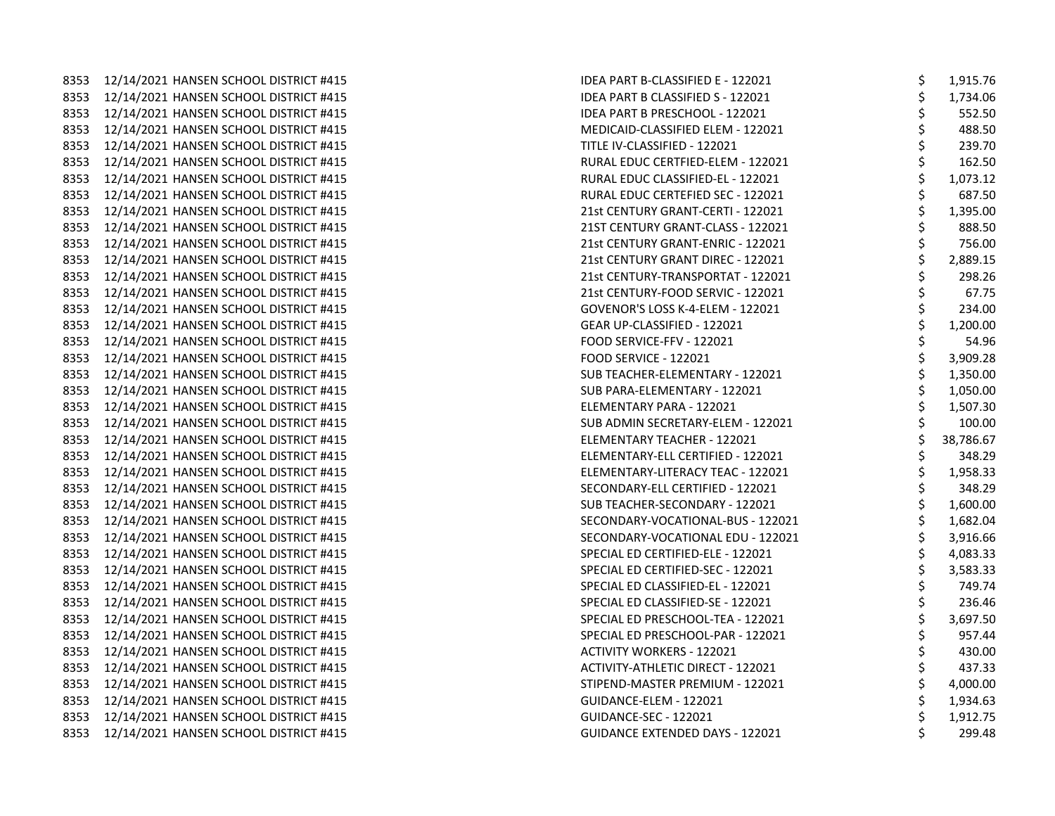|      | 8353 12/14/2021 HANSEN SCHOOL DISTRICT #415 | IDEA PART B-CLASSIFIED E - 122021        | \$<br>1,915.76 |
|------|---------------------------------------------|------------------------------------------|----------------|
|      | 8353 12/14/2021 HANSEN SCHOOL DISTRICT #415 | \$<br>IDEA PART B CLASSIFIED S - 122021  | 1,734.06       |
|      | 8353 12/14/2021 HANSEN SCHOOL DISTRICT #415 | IDEA PART B PRESCHOOL - 122021           | \$<br>552.50   |
|      | 8353 12/14/2021 HANSEN SCHOOL DISTRICT #415 | MEDICAID-CLASSIFIED ELEM - 122021        | \$<br>488.50   |
| 8353 | 12/14/2021 HANSEN SCHOOL DISTRICT #415      | TITLE IV-CLASSIFIED - 122021             | \$<br>239.70   |
| 8353 | 12/14/2021 HANSEN SCHOOL DISTRICT #415      | RURAL EDUC CERTFIED-ELEM - 122021        | \$<br>162.50   |
|      | 8353 12/14/2021 HANSEN SCHOOL DISTRICT #415 | \$<br>RURAL EDUC CLASSIFIED-EL - 122021  | 1,073.12       |
| 8353 | 12/14/2021 HANSEN SCHOOL DISTRICT #415      | RURAL EDUC CERTEFIED SEC - 122021        | \$<br>687.50   |
| 8353 | 12/14/2021 HANSEN SCHOOL DISTRICT #415      | \$<br>21st CENTURY GRANT-CERTI - 122021  | 1,395.00       |
| 8353 | 12/14/2021 HANSEN SCHOOL DISTRICT #415      | \$<br>21ST CENTURY GRANT-CLASS - 122021  | 888.50         |
| 8353 | 12/14/2021 HANSEN SCHOOL DISTRICT #415      | 21st CENTURY GRANT-ENRIC - 122021        | \$<br>756.00   |
|      | 8353 12/14/2021 HANSEN SCHOOL DISTRICT #415 | \$<br>21st CENTURY GRANT DIREC - 122021  | 2,889.15       |
|      | 8353 12/14/2021 HANSEN SCHOOL DISTRICT #415 | 21st CENTURY-TRANSPORTAT - 122021        | \$<br>298.26   |
| 8353 | 12/14/2021 HANSEN SCHOOL DISTRICT #415      | \$<br>21st CENTURY-FOOD SERVIC - 122021  | 67.75          |
| 8353 | 12/14/2021 HANSEN SCHOOL DISTRICT #415      | GOVENOR'S LOSS K-4-ELEM - 122021         | \$<br>234.00   |
| 8353 | 12/14/2021 HANSEN SCHOOL DISTRICT #415      | GEAR UP-CLASSIFIED - 122021              | \$<br>1,200.00 |
| 8353 | 12/14/2021 HANSEN SCHOOL DISTRICT #415      | FOOD SERVICE-FFV - 122021                | \$<br>54.96    |
|      | 8353 12/14/2021 HANSEN SCHOOL DISTRICT #415 | \$<br><b>FOOD SERVICE - 122021</b>       | 3,909.28       |
| 8353 | 12/14/2021 HANSEN SCHOOL DISTRICT #415      | \$<br>SUB TEACHER-ELEMENTARY - 122021    | 1,350.00       |
| 8353 | 12/14/2021 HANSEN SCHOOL DISTRICT #415      | \$<br>SUB PARA-ELEMENTARY - 122021       | 1,050.00       |
| 8353 | 12/14/2021 HANSEN SCHOOL DISTRICT #415      | ELEMENTARY PARA - 122021                 | \$<br>1,507.30 |
| 8353 | 12/14/2021 HANSEN SCHOOL DISTRICT #415      | SUB ADMIN SECRETARY-ELEM - 122021        | \$<br>100.00   |
|      | 8353 12/14/2021 HANSEN SCHOOL DISTRICT #415 | \$<br>ELEMENTARY TEACHER - 122021        | 38,786.67      |
| 8353 | 12/14/2021 HANSEN SCHOOL DISTRICT #415      | ELEMENTARY-ELL CERTIFIED - 122021        | \$<br>348.29   |
| 8353 | 12/14/2021 HANSEN SCHOOL DISTRICT #415      | \$<br>ELEMENTARY-LITERACY TEAC - 122021  | 1,958.33       |
| 8353 | 12/14/2021 HANSEN SCHOOL DISTRICT #415      | SECONDARY-ELL CERTIFIED - 122021         | \$<br>348.29   |
|      | 8353 12/14/2021 HANSEN SCHOOL DISTRICT #415 | SUB TEACHER-SECONDARY - 122021           | \$<br>1,600.00 |
|      | 8353 12/14/2021 HANSEN SCHOOL DISTRICT #415 | SECONDARY-VOCATIONAL-BUS - 122021        | \$<br>1,682.04 |
| 8353 | 12/14/2021 HANSEN SCHOOL DISTRICT #415      | SECONDARY-VOCATIONAL EDU - 122021        | \$<br>3,916.66 |
| 8353 | 12/14/2021 HANSEN SCHOOL DISTRICT #415      | \$<br>SPECIAL ED CERTIFIED-ELE - 122021  | 4,083.33       |
| 8353 | 12/14/2021 HANSEN SCHOOL DISTRICT #415      | \$<br>SPECIAL ED CERTIFIED-SEC - 122021  | 3,583.33       |
| 8353 | 12/14/2021 HANSEN SCHOOL DISTRICT #415      | SPECIAL ED CLASSIFIED-EL - 122021        | \$<br>749.74   |
|      | 8353 12/14/2021 HANSEN SCHOOL DISTRICT #415 | SPECIAL ED CLASSIFIED-SE - 122021        | \$<br>236.46   |
|      | 8353 12/14/2021 HANSEN SCHOOL DISTRICT #415 | \$<br>SPECIAL ED PRESCHOOL-TEA - 122021  | 3,697.50       |
| 8353 | 12/14/2021 HANSEN SCHOOL DISTRICT #415      | SPECIAL ED PRESCHOOL-PAR - 122021        | \$<br>957.44   |
| 8353 | 12/14/2021 HANSEN SCHOOL DISTRICT #415      | <b>ACTIVITY WORKERS - 122021</b>         | \$<br>430.00   |
| 8353 | 12/14/2021 HANSEN SCHOOL DISTRICT #415      | <b>ACTIVITY-ATHLETIC DIRECT - 122021</b> | \$<br>437.33   |
|      | 8353 12/14/2021 HANSEN SCHOOL DISTRICT #415 | STIPEND-MASTER PREMIUM - 122021          | \$<br>4,000.00 |
|      | 8353 12/14/2021 HANSEN SCHOOL DISTRICT #415 | GUIDANCE-ELEM - 122021                   | 1,934.63       |
|      | 8353 12/14/2021 HANSEN SCHOOL DISTRICT #415 | <b>GUIDANCE-SEC - 122021</b>             | \$<br>1,912.75 |
|      | 8353 12/14/2021 HANSEN SCHOOL DISTRICT #415 | <b>GUIDANCE EXTENDED DAYS - 122021</b>   | \$<br>299.48   |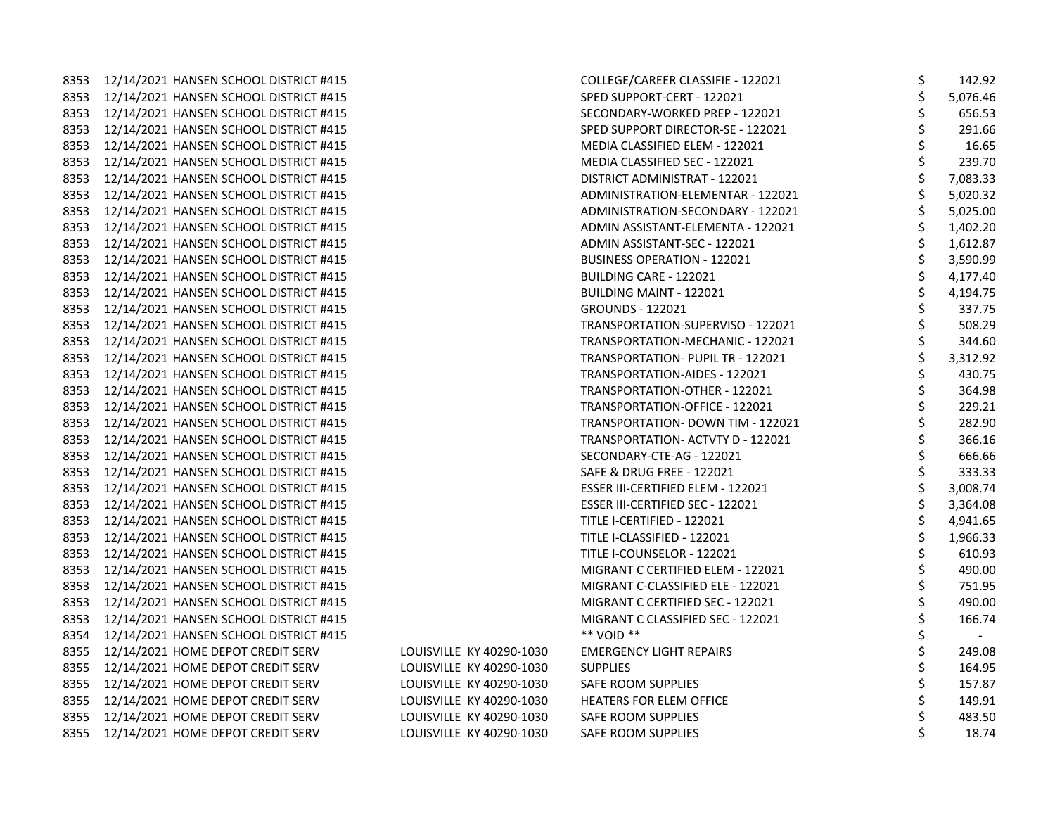| 8353 | 12/14/2021 HANSEN SCHOOL DISTRICT #415 |
|------|----------------------------------------|
| 8353 | 12/14/2021 HANSEN SCHOOL DISTRICT #415 |
| 8353 | 12/14/2021 HANSEN SCHOOL DISTRICT #415 |
| 8353 | 12/14/2021 HANSEN SCHOOL DISTRICT #415 |
| 8353 | 12/14/2021 HANSEN SCHOOL DISTRICT #415 |
| 8353 | 12/14/2021 HANSEN SCHOOL DISTRICT #415 |
| 8353 | 12/14/2021 HANSEN SCHOOL DISTRICT #415 |
| 8353 | 12/14/2021 HANSEN SCHOOL DISTRICT #415 |
| 8353 | 12/14/2021 HANSEN SCHOOL DISTRICT #415 |
| 8353 | 12/14/2021 HANSEN SCHOOL DISTRICT #415 |
| 8353 | 12/14/2021 HANSEN SCHOOL DISTRICT #415 |
| 8353 | 12/14/2021 HANSEN SCHOOL DISTRICT #415 |
| 8353 | 12/14/2021 HANSEN SCHOOL DISTRICT #415 |
| 8353 | 12/14/2021 HANSEN SCHOOL DISTRICT #415 |
| 8353 | 12/14/2021 HANSEN SCHOOL DISTRICT #415 |
| 8353 | 12/14/2021 HANSEN SCHOOL DISTRICT #415 |
| 8353 | 12/14/2021 HANSEN SCHOOL DISTRICT #415 |
| 8353 | 12/14/2021 HANSEN SCHOOL DISTRICT #415 |
| 8353 | 12/14/2021 HANSEN SCHOOL DISTRICT #415 |
| 8353 | 12/14/2021 HANSEN SCHOOL DISTRICT #415 |
| 8353 | 12/14/2021 HANSEN SCHOOL DISTRICT #415 |
| 8353 | 12/14/2021 HANSEN SCHOOL DISTRICT #415 |
| 8353 | 12/14/2021 HANSEN SCHOOL DISTRICT #415 |
| 8353 | 12/14/2021 HANSEN SCHOOL DISTRICT #415 |
| 8353 | 12/14/2021 HANSEN SCHOOL DISTRICT #415 |
| 8353 | 12/14/2021 HANSEN SCHOOL DISTRICT #415 |
| 8353 | 12/14/2021 HANSEN SCHOOL DISTRICT #415 |
| 8353 | 12/14/2021 HANSEN SCHOOL DISTRICT #415 |
| 8353 | 12/14/2021 HANSEN SCHOOL DISTRICT #415 |
| 8353 | 12/14/2021 HANSEN SCHOOL DISTRICT #415 |
| 8353 | 12/14/2021 HANSEN SCHOOL DISTRICT #415 |
| 8353 | 12/14/2021 HANSEN SCHOOL DISTRICT #415 |
| 8353 | 12/14/2021 HANSEN SCHOOL DISTRICT #415 |
| 8353 | 12/14/2021 HANSEN SCHOOL DISTRICT #415 |
| 8354 | 12/14/2021 HANSEN SCHOOL DISTRICT #415 |
| 8355 | 12/14/2021 HOME DEPOT CREDIT SERV      |
| 8355 | 12/14/2021 HOME DEPOT CREDIT SERV      |
| 8355 | 12/14/2021 HOME DEPOT CREDIT SERV      |
| 8355 | 12/14/2021 HOME DEPOT CREDIT SERV      |
| 8355 | 12/14/2021 HOME DEPOT CREDIT SERV      |
| 8355 | 12/14/2021 HOME DEPOT CREDIT SERV      |

|      | 8353 12/14/2021 HANSEN SCHOOL DISTRICT #415 |                          | COLLEGE/CAREER CLASSIFIE - 122021        | \$<br>142.92 |
|------|---------------------------------------------|--------------------------|------------------------------------------|--------------|
|      | 8353 12/14/2021 HANSEN SCHOOL DISTRICT #415 |                          | SPED SUPPORT-CERT - 122021               | 5,076.46     |
|      | 8353 12/14/2021 HANSEN SCHOOL DISTRICT #415 |                          | SECONDARY-WORKED PREP - 122021           | 656.53       |
|      | 8353 12/14/2021 HANSEN SCHOOL DISTRICT #415 |                          | SPED SUPPORT DIRECTOR-SE - 122021        | 291.66       |
| 8353 | 12/14/2021 HANSEN SCHOOL DISTRICT #415      |                          | MEDIA CLASSIFIED ELEM - 122021           | 16.65        |
| 8353 | 12/14/2021 HANSEN SCHOOL DISTRICT #415      |                          | MEDIA CLASSIFIED SEC - 122021            | \$<br>239.70 |
| 8353 | 12/14/2021 HANSEN SCHOOL DISTRICT #415      |                          | DISTRICT ADMINISTRAT - 122021            | 7,083.33     |
| 8353 | 12/14/2021 HANSEN SCHOOL DISTRICT #415      |                          | ADMINISTRATION-ELEMENTAR - 122021        | 5,020.32     |
| 8353 | 12/14/2021 HANSEN SCHOOL DISTRICT #415      |                          | ADMINISTRATION-SECONDARY - 122021        | 5,025.00     |
| 8353 | 12/14/2021 HANSEN SCHOOL DISTRICT #415      |                          | ADMIN ASSISTANT-ELEMENTA - 122021        | 1,402.20     |
| 8353 | 12/14/2021 HANSEN SCHOOL DISTRICT #415      |                          | ADMIN ASSISTANT-SEC - 122021             | 1,612.87     |
| 8353 | 12/14/2021 HANSEN SCHOOL DISTRICT #415      |                          | <b>BUSINESS OPERATION - 122021</b>       | 3,590.99     |
|      | 8353 12/14/2021 HANSEN SCHOOL DISTRICT #415 |                          | BUILDING CARE - 122021                   | 4,177.40     |
| 8353 | 12/14/2021 HANSEN SCHOOL DISTRICT #415      |                          | <b>BUILDING MAINT - 122021</b>           | 4,194.75     |
| 8353 | 12/14/2021 HANSEN SCHOOL DISTRICT #415      |                          | <b>GROUNDS - 122021</b>                  | 337.75       |
| 8353 | 12/14/2021 HANSEN SCHOOL DISTRICT #415      |                          | TRANSPORTATION-SUPERVISO - 122021        | 508.29       |
| 8353 | 12/14/2021 HANSEN SCHOOL DISTRICT #415      |                          | TRANSPORTATION-MECHANIC - 122021         | 344.60       |
| 8353 | 12/14/2021 HANSEN SCHOOL DISTRICT #415      |                          | <b>TRANSPORTATION- PUPIL TR - 122021</b> | 3,312.92     |
| 8353 | 12/14/2021 HANSEN SCHOOL DISTRICT #415      |                          | TRANSPORTATION-AIDES - 122021            | 430.75       |
| 8353 | 12/14/2021 HANSEN SCHOOL DISTRICT #415      |                          | TRANSPORTATION-OTHER - 122021            | 364.98       |
| 8353 | 12/14/2021 HANSEN SCHOOL DISTRICT #415      |                          | TRANSPORTATION-OFFICE - 122021           | \$<br>229.21 |
| 8353 | 12/14/2021 HANSEN SCHOOL DISTRICT #415      |                          | TRANSPORTATION- DOWN TIM - 122021        | 282.90       |
| 8353 | 12/14/2021 HANSEN SCHOOL DISTRICT #415      |                          | TRANSPORTATION- ACTVTY D - 122021        | \$<br>366.16 |
| 8353 | 12/14/2021 HANSEN SCHOOL DISTRICT #415      |                          | SECONDARY-CTE-AG - 122021                | 666.66       |
|      | 8353 12/14/2021 HANSEN SCHOOL DISTRICT #415 |                          | SAFE & DRUG FREE - 122021                | 333.33       |
| 8353 | 12/14/2021 HANSEN SCHOOL DISTRICT #415      |                          | ESSER III-CERTIFIED ELEM - 122021        | 3,008.74     |
| 8353 | 12/14/2021 HANSEN SCHOOL DISTRICT #415      |                          | ESSER III-CERTIFIED SEC - 122021         | 3,364.08     |
| 8353 | 12/14/2021 HANSEN SCHOOL DISTRICT #415      |                          | TITLE I-CERTIFIED - 122021               | 4,941.65     |
| 8353 | 12/14/2021 HANSEN SCHOOL DISTRICT #415      |                          | TITLE I-CLASSIFIED - 122021              | 1,966.33     |
| 8353 | 12/14/2021 HANSEN SCHOOL DISTRICT #415      |                          | TITLE I-COUNSELOR - 122021               | 610.93       |
| 8353 | 12/14/2021 HANSEN SCHOOL DISTRICT #415      |                          | MIGRANT C CERTIFIED ELEM - 122021        | 490.00       |
| 8353 | 12/14/2021 HANSEN SCHOOL DISTRICT #415      |                          | MIGRANT C-CLASSIFIED ELE - 122021        | 751.95       |
| 8353 | 12/14/2021 HANSEN SCHOOL DISTRICT #415      |                          | MIGRANT C CERTIFIED SEC - 122021         | 490.00       |
| 8353 | 12/14/2021 HANSEN SCHOOL DISTRICT #415      |                          | MIGRANT C CLASSIFIED SEC - 122021        | 166.74       |
| 8354 | 12/14/2021 HANSEN SCHOOL DISTRICT #415      |                          | ** VOID **                               | \$           |
| 8355 | 12/14/2021 HOME DEPOT CREDIT SERV           | LOUISVILLE KY 40290-1030 | <b>EMERGENCY LIGHT REPAIRS</b>           | 249.08       |
| 8355 | 12/14/2021 HOME DEPOT CREDIT SERV           | LOUISVILLE KY 40290-1030 | <b>SUPPLIES</b>                          | 164.95       |
| 8355 | 12/14/2021 HOME DEPOT CREDIT SERV           | LOUISVILLE KY 40290-1030 | SAFE ROOM SUPPLIES                       | 157.87       |
| 8355 | 12/14/2021 HOME DEPOT CREDIT SERV           | LOUISVILLE KY 40290-1030 | <b>HEATERS FOR ELEM OFFICE</b>           | 149.91       |
| 8355 | 12/14/2021 HOME DEPOT CREDIT SERV           | LOUISVILLE KY 40290-1030 | SAFE ROOM SUPPLIES                       | 483.50       |
|      | 8355 12/14/2021 HOME DEPOT CREDIT SERV      | LOUISVILLE KY 40290-1030 | SAFE ROOM SUPPLIES                       | 18.74        |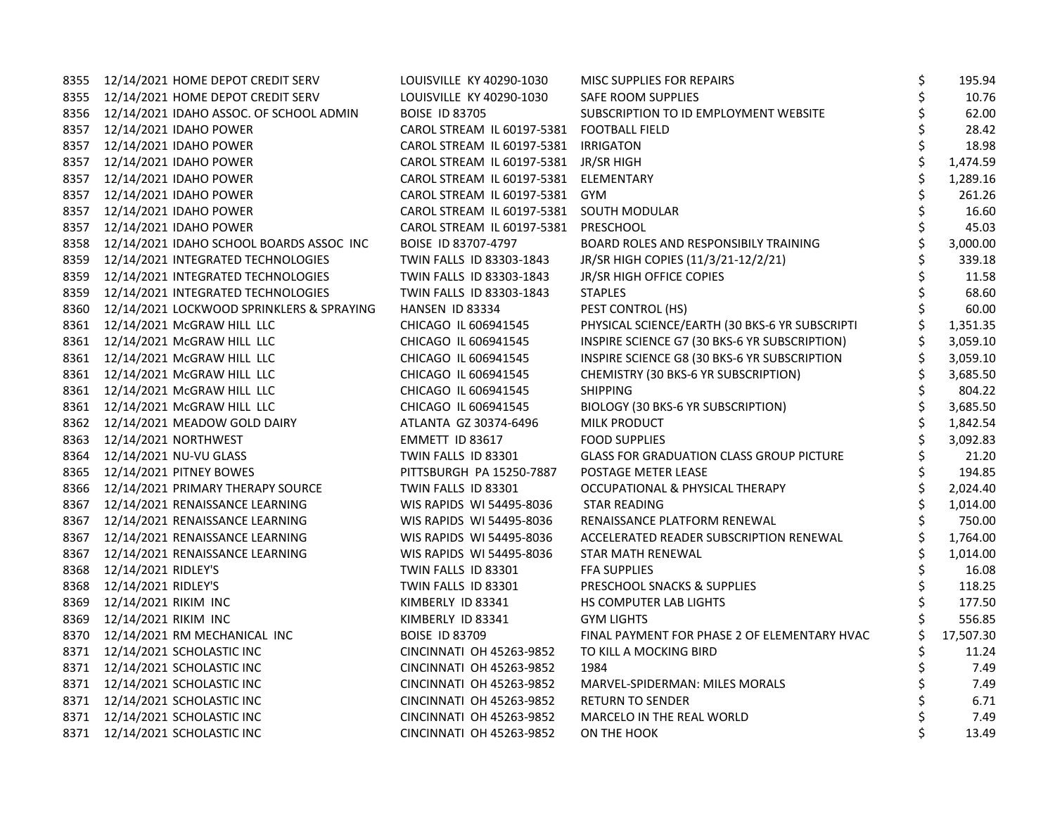|      | 8355 12/14/2021 HOME DEPOT CREDIT SERV        | LOUISVILLE KY 40290-1030                  | MISC SUPPLIES FOR REPAIRS                       | \$ | 195.94    |
|------|-----------------------------------------------|-------------------------------------------|-------------------------------------------------|----|-----------|
|      | 8355 12/14/2021 HOME DEPOT CREDIT SERV        | LOUISVILLE KY 40290-1030                  | SAFE ROOM SUPPLIES                              | \$ | 10.76     |
|      | 8356 12/14/2021 IDAHO ASSOC. OF SCHOOL ADMIN  | <b>BOISE ID 83705</b>                     | SUBSCRIPTION TO ID EMPLOYMENT WEBSITE           |    | 62.00     |
|      | 8357 12/14/2021 IDAHO POWER                   | CAROL STREAM IL 60197-5381 FOOTBALL FIELD |                                                 | Ś  | 28.42     |
|      | 8357 12/14/2021 IDAHO POWER                   | CAROL STREAM IL 60197-5381 IRRIGATON      |                                                 | \$ | 18.98     |
|      | 8357 12/14/2021 IDAHO POWER                   | CAROL STREAM IL 60197-5381 JR/SR HIGH     |                                                 |    | 1,474.59  |
| 8357 | 12/14/2021 IDAHO POWER                        | CAROL STREAM IL 60197-5381                | ELEMENTARY                                      | \$ | 1,289.16  |
| 8357 | 12/14/2021 IDAHO POWER                        | CAROL STREAM IL 60197-5381                | <b>GYM</b>                                      | \$ | 261.26    |
| 8357 | 12/14/2021 IDAHO POWER                        | CAROL STREAM IL 60197-5381                | SOUTH MODULAR                                   | \$ | 16.60     |
| 8357 | 12/14/2021 IDAHO POWER                        | CAROL STREAM IL 60197-5381                | PRESCHOOL                                       | \$ | 45.03     |
|      | 8358 12/14/2021 IDAHO SCHOOL BOARDS ASSOC INC | BOISE ID 83707-4797                       | BOARD ROLES AND RESPONSIBILY TRAINING           | \$ | 3,000.00  |
|      | 8359 12/14/2021 INTEGRATED TECHNOLOGIES       | TWIN FALLS ID 83303-1843                  | JR/SR HIGH COPIES (11/3/21-12/2/21)             |    | 339.18    |
| 8359 | 12/14/2021 INTEGRATED TECHNOLOGIES            | TWIN FALLS ID 83303-1843                  | JR/SR HIGH OFFICE COPIES                        |    | 11.58     |
| 8359 | 12/14/2021 INTEGRATED TECHNOLOGIES            | TWIN FALLS ID 83303-1843                  | <b>STAPLES</b>                                  |    | 68.60     |
| 8360 | 12/14/2021 LOCKWOOD SPRINKLERS & SPRAYING     | HANSEN ID 83334                           | PEST CONTROL (HS)                               |    | 60.00     |
| 8361 | 12/14/2021 McGRAW HILL LLC                    | CHICAGO IL 606941545                      | PHYSICAL SCIENCE/EARTH (30 BKS-6 YR SUBSCRIPTI  |    | 1,351.35  |
|      | 8361 12/14/2021 McGRAW HILL LLC               | CHICAGO IL 606941545                      | INSPIRE SCIENCE G7 (30 BKS-6 YR SUBSCRIPTION)   |    | 3,059.10  |
|      | 8361 12/14/2021 McGRAW HILL LLC               | CHICAGO IL 606941545                      | INSPIRE SCIENCE G8 (30 BKS-6 YR SUBSCRIPTION    |    | 3,059.10  |
|      | 8361 12/14/2021 McGRAW HILL LLC               | CHICAGO IL 606941545                      | CHEMISTRY (30 BKS-6 YR SUBSCRIPTION)            |    | 3,685.50  |
|      | 8361 12/14/2021 McGRAW HILL LLC               | CHICAGO IL 606941545                      | <b>SHIPPING</b>                                 |    | 804.22    |
| 8361 | 12/14/2021 McGRAW HILL LLC                    | CHICAGO IL 606941545                      | BIOLOGY (30 BKS-6 YR SUBSCRIPTION)              | \$ | 3,685.50  |
| 8362 | 12/14/2021 MEADOW GOLD DAIRY                  | ATLANTA GZ 30374-6496                     | MILK PRODUCT                                    | \$ | 1,842.54  |
| 8363 | 12/14/2021 NORTHWEST                          | EMMETT ID 83617                           | <b>FOOD SUPPLIES</b>                            |    | 3,092.83  |
|      | 8364 12/14/2021 NU-VU GLASS                   | TWIN FALLS ID 83301                       | <b>GLASS FOR GRADUATION CLASS GROUP PICTURE</b> |    | 21.20     |
|      | 8365 12/14/2021 PITNEY BOWES                  | PITTSBURGH PA 15250-7887                  | POSTAGE METER LEASE                             | \$ | 194.85    |
| 8366 | 12/14/2021 PRIMARY THERAPY SOURCE             | TWIN FALLS ID 83301                       | OCCUPATIONAL & PHYSICAL THERAPY                 |    | 2,024.40  |
| 8367 | 12/14/2021 RENAISSANCE LEARNING               | WIS RAPIDS WI 54495-8036                  | <b>STAR READING</b>                             |    | 1,014.00  |
| 8367 | 12/14/2021 RENAISSANCE LEARNING               | WIS RAPIDS WI 54495-8036                  | RENAISSANCE PLATFORM RENEWAL                    | \$ | 750.00    |
|      | 8367 12/14/2021 RENAISSANCE LEARNING          | WIS RAPIDS WI 54495-8036                  | ACCELERATED READER SUBSCRIPTION RENEWAL         |    | 1,764.00  |
|      | 8367 12/14/2021 RENAISSANCE LEARNING          | WIS RAPIDS WI 54495-8036                  | STAR MATH RENEWAL                               |    | 1,014.00  |
| 8368 | 12/14/2021 RIDLEY'S                           | TWIN FALLS ID 83301                       | <b>FFA SUPPLIES</b>                             | \$ | 16.08     |
| 8368 | 12/14/2021 RIDLEY'S                           | TWIN FALLS ID 83301                       | PRESCHOOL SNACKS & SUPPLIES                     | \$ | 118.25    |
| 8369 | 12/14/2021 RIKIM INC                          | KIMBERLY ID 83341                         | HS COMPUTER LAB LIGHTS                          | \$ | 177.50    |
| 8369 | 12/14/2021 RIKIM INC                          | KIMBERLY ID 83341                         | <b>GYM LIGHTS</b>                               |    | 556.85    |
| 8370 | 12/14/2021 RM MECHANICAL INC                  | <b>BOISE ID 83709</b>                     | FINAL PAYMENT FOR PHASE 2 OF ELEMENTARY HVAC    |    | 17,507.30 |
|      | 8371 12/14/2021 SCHOLASTIC INC                | CINCINNATI OH 45263-9852                  | TO KILL A MOCKING BIRD                          |    | 11.24     |
|      | 8371 12/14/2021 SCHOLASTIC INC                | CINCINNATI OH 45263-9852                  | 1984                                            | \$ | 7.49      |
|      | 8371 12/14/2021 SCHOLASTIC INC                | CINCINNATI OH 45263-9852                  | MARVEL-SPIDERMAN: MILES MORALS                  | \$ | 7.49      |
|      | 8371 12/14/2021 SCHOLASTIC INC                | CINCINNATI OH 45263-9852                  | <b>RETURN TO SENDER</b>                         |    | 6.71      |
|      | 8371 12/14/2021 SCHOLASTIC INC                | CINCINNATI OH 45263-9852                  | MARCELO IN THE REAL WORLD                       | \$ | 7.49      |
|      | 8371 12/14/2021 SCHOLASTIC INC                | CINCINNATI OH 45263-9852                  | ON THE HOOK                                     | Ś  | 13.49     |